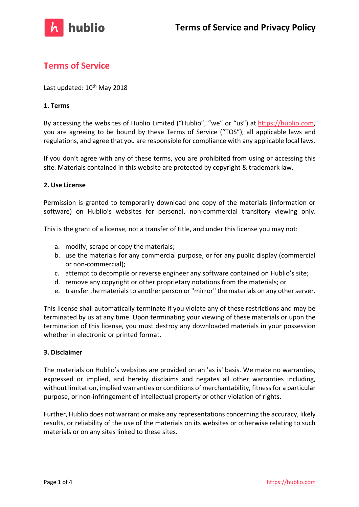

# **Terms of Service**

Last updated: 10<sup>th</sup> May 2018

## **1. Terms**

By accessing the websites of Hublio Limited ("Hublio", "we" or "us") at https://hublio.com, you are agreeing to be bound by these Terms of Service ("TOS"), all applicable laws and regulations, and agree that you are responsible for compliance with any applicable local laws.

If you don't agree with any of these terms, you are prohibited from using or accessing this site. Materials contained in this website are protected by copyright & trademark law.

## **2. Use License**

Permission is granted to temporarily download one copy of the materials (information or software) on Hublio's websites for personal, non-commercial transitory viewing only.

This is the grant of a license, not a transfer of title, and under this license you may not:

- a. modify, scrape or copy the materials;
- b. use the materials for any commercial purpose, or for any public display (commercial or non-commercial);
- c. attempt to decompile or reverse engineer any software contained on Hublio's site;
- d. remove any copyright or other proprietary notations from the materials; or
- e. transfer the materials to another person or "mirror" the materials on any other server.

This license shall automatically terminate if you violate any of these restrictions and may be terminated by us at any time. Upon terminating your viewing of these materials or upon the termination of this license, you must destroy any downloaded materials in your possession whether in electronic or printed format.

#### **3. Disclaimer**

The materials on Hublio's websites are provided on an 'as is' basis. We make no warranties, expressed or implied, and hereby disclaims and negates all other warranties including, without limitation, implied warranties or conditions of merchantability, fitness for a particular purpose, or non-infringement of intellectual property or other violation of rights.

Further, Hublio does not warrant or make any representations concerning the accuracy, likely results, or reliability of the use of the materials on its websites or otherwise relating to such materials or on any sites linked to these sites.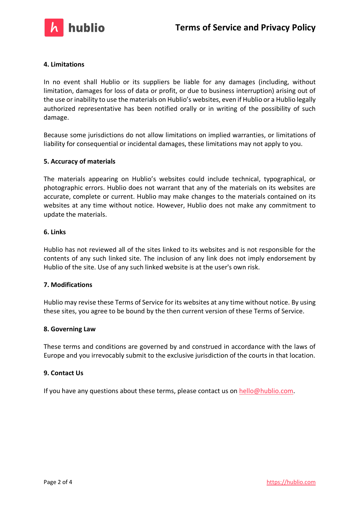

# **4. Limitations**

In no event shall Hublio or its suppliers be liable for any damages (including, without limitation, damages for loss of data or profit, or due to business interruption) arising out of the use or inability to use the materials on Hublio's websites, even if Hublio or a Hublio legally authorized representative has been notified orally or in writing of the possibility of such damage.

Because some jurisdictions do not allow limitations on implied warranties, or limitations of liability for consequential or incidental damages, these limitations may not apply to you.

#### **5. Accuracy of materials**

The materials appearing on Hublio's websites could include technical, typographical, or photographic errors. Hublio does not warrant that any of the materials on its websites are accurate, complete or current. Hublio may make changes to the materials contained on its websites at any time without notice. However, Hublio does not make any commitment to update the materials.

#### **6. Links**

Hublio has not reviewed all of the sites linked to its websites and is not responsible for the contents of any such linked site. The inclusion of any link does not imply endorsement by Hublio of the site. Use of any such linked website is at the user's own risk.

#### **7. Modifications**

Hublio may revise these Terms of Service for its websites at any time without notice. By using these sites, you agree to be bound by the then current version of these Terms of Service.

#### **8. Governing Law**

These terms and conditions are governed by and construed in accordance with the laws of Europe and you irrevocably submit to the exclusive jurisdiction of the courts in that location.

#### **9. Contact Us**

If you have any questions about these terms, please contact us on  $hello@hublio.com$ .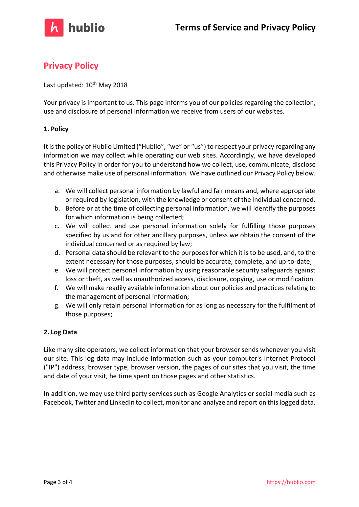

# **Privacy Policy**

Last updated: 10<sup>th</sup> May 2018

Your privacy is important to us. This page informs you of our policies regarding the collection, use and disclosure of personal information we receive from users of our websites.

# **1. Policy**

It is the policy of Hublio Limited ("Hublio", "we" or "us") to respect your privacy regarding any information we may collect while operating our web sites. Accordingly, we have developed this Privacy Policy in order for you to understand how we collect, use, communicate, disclose and otherwise make use of personal information. We have outlined our Privacy Policy below.

- a. We will collect personal information by lawful and fair means and, where appropriate or required by legislation, with the knowledge or consent of the individual concerned.
- b. Before or at the time of collecting personal information, we will identify the purposes for which information is being collected;
- c. We will collect and use personal information solely for fulfilling those purposes specified by us and for other ancillary purposes, unless we obtain the consent of the individual concerned or as required by law;
- d. Personal data should be relevant to the purposes for which it is to be used, and, to the extent necessary for those purposes, should be accurate, complete, and up-to-date;
- e. We will protect personal information by using reasonable security safeguards against loss or theft, as well as unauthorized access, disclosure, copying, use or modification.
- f. We will make readily available information about our policies and practices relating to the management of personal information;
- g. We will only retain personal information for as long as necessary for the fulfilment of those purposes;

# **2. Log Data**

Like many site operators, we collect information that your browser sends whenever you visit our site. This log data may include information such as your computer's Internet Protocol ("IP") address, browser type, browser version, the pages of our sites that you visit, the time and date of your visit, he time spent on those pages and other statistics.

In addition, we may use third party services such as Google Analytics or social media such as Facebook, Twitter and LinkedIn to collect, monitor and analyze and report on this logged data.